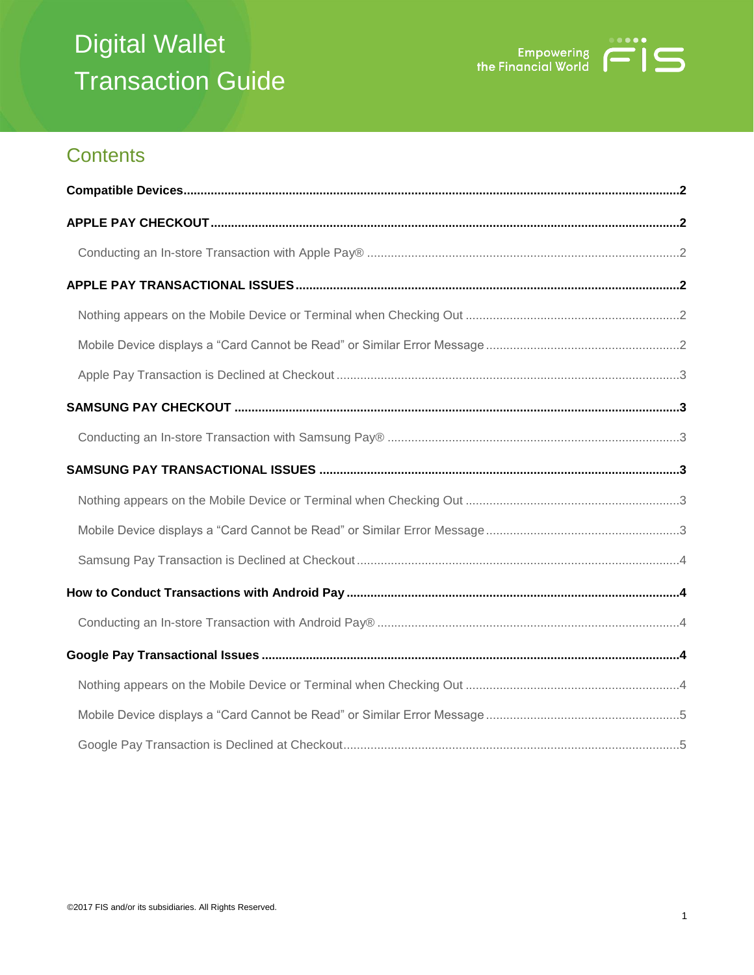# Digital Wallet Transaction Guide



# **Contents**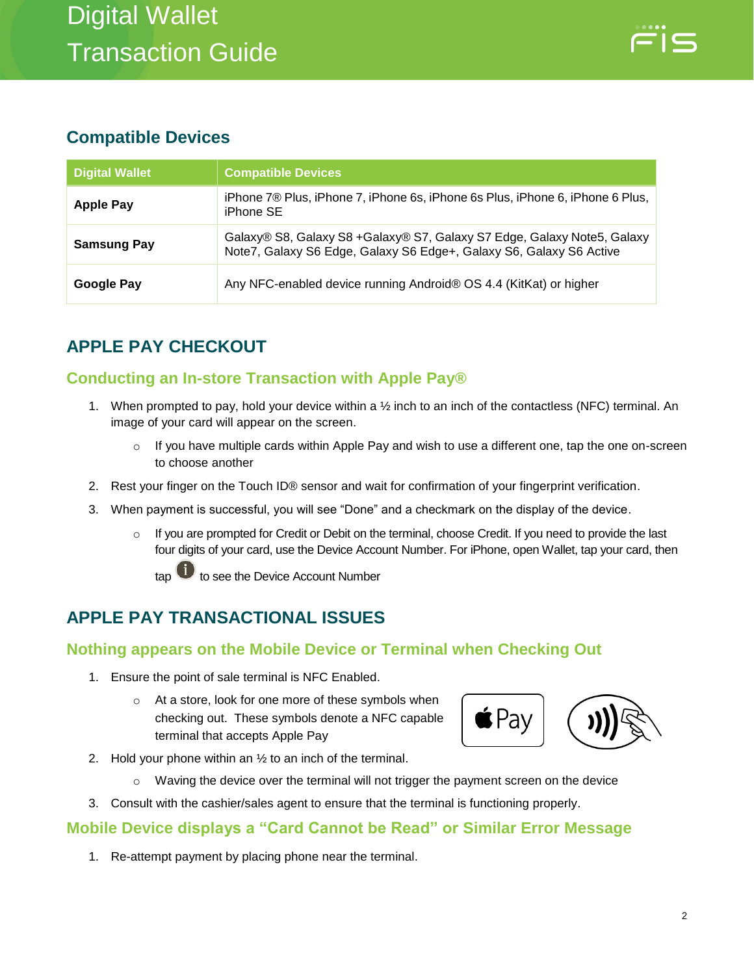# <span id="page-1-0"></span>**Compatible Devices**

| <b>Digital Wallet</b> | <b>Compatible Devices</b>                                                                                                                       |
|-----------------------|-------------------------------------------------------------------------------------------------------------------------------------------------|
| <b>Apple Pay</b>      | iPhone 7® Plus, iPhone 7, iPhone 6s, iPhone 6s Plus, iPhone 6, iPhone 6 Plus,<br>iPhone SE                                                      |
| <b>Samsung Pay</b>    | Galaxy® S8, Galaxy S8 + Galaxy® S7, Galaxy S7 Edge, Galaxy Note5, Galaxy<br>Note7, Galaxy S6 Edge, Galaxy S6 Edge+, Galaxy S6, Galaxy S6 Active |
| Google Pay            | Any NFC-enabled device running Android® OS 4.4 (KitKat) or higher                                                                               |

# <span id="page-1-1"></span>**APPLE PAY CHECKOUT**

## <span id="page-1-2"></span>**Conducting an In-store Transaction with Apple Pay®**

- 1. When prompted to pay, hold your device within a ½ inch to an inch of the contactless (NFC) terminal. An image of your card will appear on the screen.
	- o If you have multiple cards within Apple Pay and wish to use a different one, tap the one on-screen to choose another
- 2. Rest your finger on the Touch ID® sensor and wait for confirmation of your fingerprint verification.
- 3. When payment is successful, you will see "Done" and a checkmark on the display of the device.
	- $\circ$  If you are prompted for Credit or Debit on the terminal, choose Credit. If you need to provide the last four digits of your card, use the Device Account Number. For iPhone, open Wallet, tap your card, then

tap **to** to see the Device Account Number

# <span id="page-1-3"></span>**APPLE PAY TRANSACTIONAL ISSUES**

### <span id="page-1-4"></span>**Nothing appears on the Mobile Device or Terminal when Checking Out**

- 1. Ensure the point of sale terminal is NFC Enabled.
	- o At a store, look for one more of these symbols when checking out. These symbols denote a NFC capable terminal that accepts Apple Pay



- 2. Hold your phone within an  $\frac{1}{2}$  to an inch of the terminal.
	- $\circ$  Waving the device over the terminal will not trigger the payment screen on the device
- 3. Consult with the cashier/sales agent to ensure that the terminal is functioning properly.

### <span id="page-1-5"></span>**Mobile Device displays a "Card Cannot be Read" or Similar Error Message**

1. Re-attempt payment by placing phone near the terminal.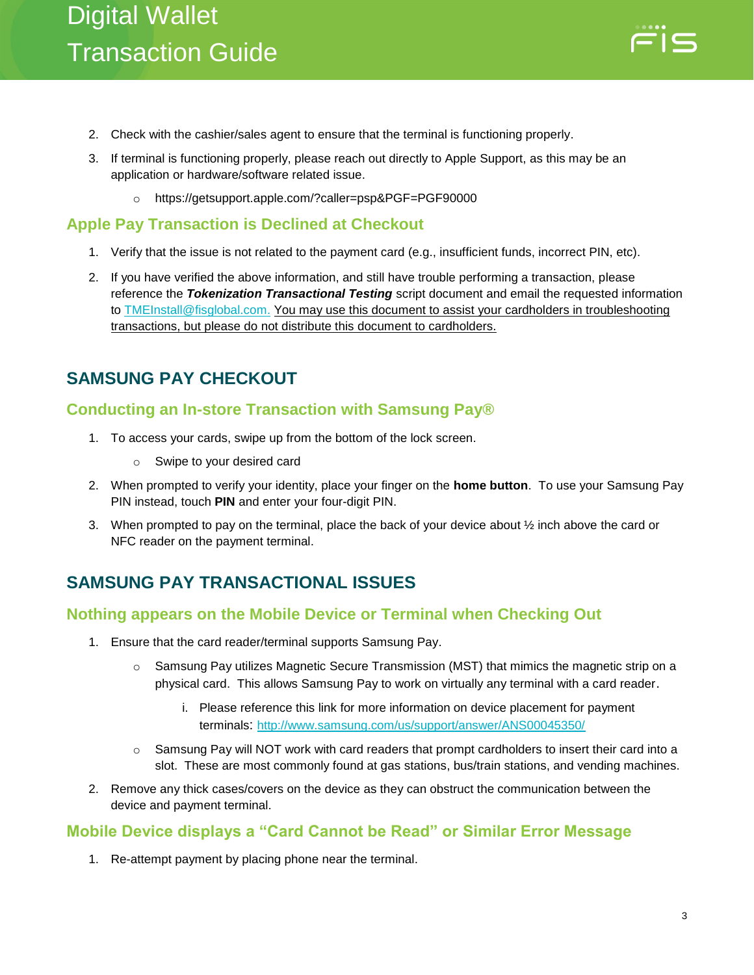

- 2. Check with the cashier/sales agent to ensure that the terminal is functioning properly.
- 3. If terminal is functioning properly, please reach out directly to Apple Support, as this may be an application or hardware/software related issue.
	- o https://getsupport.apple.com/?caller=psp&PGF=PGF90000

#### <span id="page-2-0"></span>**Apple Pay Transaction is Declined at Checkout**

- 1. Verify that the issue is not related to the payment card (e.g., insufficient funds, incorrect PIN, etc).
- 2. If you have verified the above information, and still have trouble performing a transaction, please reference the *Tokenization Transactional Testing* script document and email the requested information to [TMEInstall@fisglobal.com.](mailto:TMEInstall@fisglobal.com) You may use this document to assist your cardholders in troubleshooting transactions, but please do not distribute this document to cardholders.

## <span id="page-2-1"></span>**SAMSUNG PAY CHECKOUT**

#### <span id="page-2-2"></span>**Conducting an In-store Transaction with Samsung Pay®**

- 1. To access your cards, swipe up from the bottom of the lock screen.
	- o Swipe to your desired card
- 2. When prompted to verify your identity, place your finger on the **home button**. To use your Samsung Pay PIN instead, touch **PIN** and enter your four-digit PIN.
- 3. When prompted to pay on the terminal, place the back of your device about ½ inch above the card or NFC reader on the payment terminal.

# <span id="page-2-3"></span>**SAMSUNG PAY TRANSACTIONAL ISSUES**

#### <span id="page-2-4"></span>**Nothing appears on the Mobile Device or Terminal when Checking Out**

- 1. Ensure that the card reader/terminal supports Samsung Pay.
	- $\circ$  Samsung Pay utilizes Magnetic Secure Transmission (MST) that mimics the magnetic strip on a physical card. This allows Samsung Pay to work on virtually any terminal with a card reader.
		- i. Please reference this link for more information on device placement for payment terminals: <http://www.samsung.com/us/support/answer/ANS00045350/>
	- $\circ$  Samsung Pay will NOT work with card readers that prompt cardholders to insert their card into a slot. These are most commonly found at gas stations, bus/train stations, and vending machines.
- 2. Remove any thick cases/covers on the device as they can obstruct the communication between the device and payment terminal.

#### <span id="page-2-5"></span>**Mobile Device displays a "Card Cannot be Read" or Similar Error Message**

1. Re-attempt payment by placing phone near the terminal.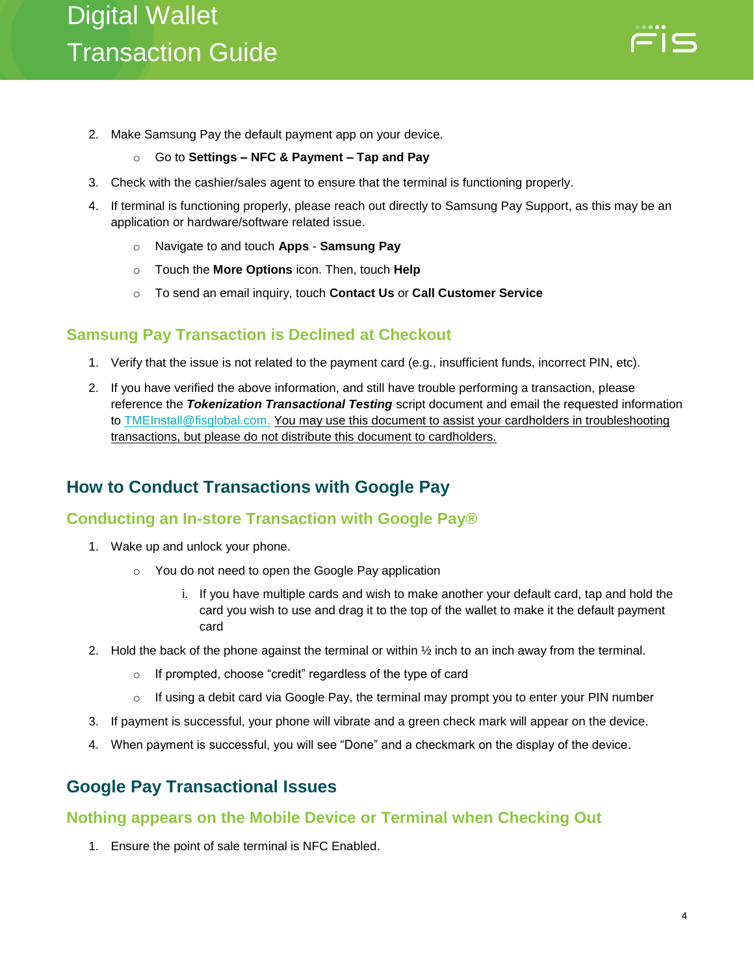

2. Make Samsung Pay the default payment app on your device.

#### o Go to **Settings – NFC & Payment – Tap and Pay**

- 3. Check with the cashier/sales agent to ensure that the terminal is functioning properly.
- 4. If terminal is functioning properly, please reach out directly to Samsung Pay Support, as this may be an application or hardware/software related issue.
	- o Navigate to and touch **Apps Samsung Pay**
	- o Touch the **More Options** icon. Then, touch **Help**
	- o To send an email inquiry, touch **Contact Us** or **Call Customer Service**

#### <span id="page-3-0"></span>**Samsung Pay Transaction is Declined at Checkout**

- 1. Verify that the issue is not related to the payment card (e.g., insufficient funds, incorrect PIN, etc).
- 2. If you have verified the above information, and still have trouble performing a transaction, please reference the *Tokenization Transactional Testing* script document and email the requested information to **TMEInstall@fisglobal.com.** You may use this document to assist your cardholders in troubleshooting transactions, but please do not distribute this document to cardholders.

# <span id="page-3-1"></span>**How to Conduct Transactions with Google Pay**

#### <span id="page-3-2"></span>**Conducting an In-store Transaction with Google Pay®**

- 1. Wake up and unlock your phone.
	- o You do not need to open the Google Pay application
		- i. If you have multiple cards and wish to make another your default card, tap and hold the card you wish to use and drag it to the top of the wallet to make it the default payment card
- 2. Hold the back of the phone against the terminal or within ½ inch to an inch away from the terminal.
	- o If prompted, choose "credit" regardless of the type of card
	- $\circ$  If using a debit card via Google Pay, the terminal may prompt you to enter your PIN number
- 3. If payment is successful, your phone will vibrate and a green check mark will appear on the device.
- 4. When payment is successful, you will see "Done" and a checkmark on the display of the device.

### <span id="page-3-3"></span>**Google Pay Transactional Issues**

#### <span id="page-3-4"></span>**Nothing appears on the Mobile Device or Terminal when Checking Out**

1. Ensure the point of sale terminal is NFC Enabled.